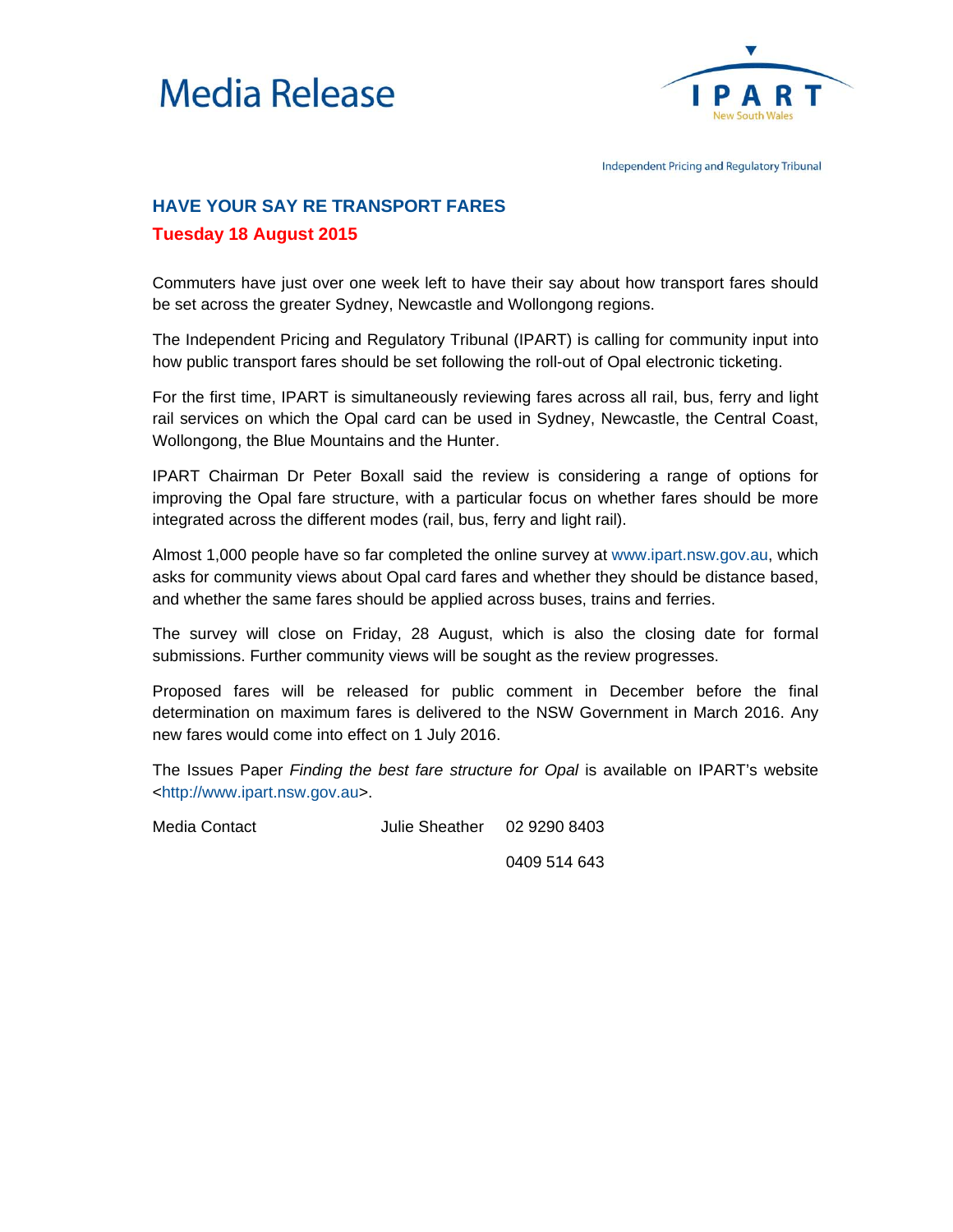



Independent Pricing and Regulatory Tribunal

## **HAVE YOUR SAY RE TRANSPORT FARES Tuesday 18 August 2015**

Commuters have just over one week left to have their say about how transport fares should be set across the greater Sydney, Newcastle and Wollongong regions.

The Independent Pricing and Regulatory Tribunal (IPART) is calling for community input into how public transport fares should be set following the roll-out of Opal electronic ticketing.

For the first time, IPART is simultaneously reviewing fares across all rail, bus, ferry and light rail services on which the Opal card can be used in Sydney, Newcastle, the Central Coast, Wollongong, the Blue Mountains and the Hunter.

IPART Chairman Dr Peter Boxall said the review is considering a range of options for improving the Opal fare structure, with a particular focus on whether fares should be more integrated across the different modes (rail, bus, ferry and light rail).

Almost 1,000 people have so far completed the online survey at [www.ipart.nsw.gov.au,](http://www.ipart.nsw.gov.au/Home/Industries/Transport/Reviews/Public_Transport_Fares/Public_Transport_Fares_in_Sydney_and_Surrounds/21_Jul_2015_-_Public_transport_fares_survey/Public_Transport_Fares_Survey) which asks for community views about Opal card fares and whether they should be distance based, and whether the same fares should be applied across buses, trains and ferries.

The survey will close on Friday, 28 August, which is also the closing date for formal submissions. Further community views will be sought as the review progresses.

Proposed fares will be released for public comment in December before the final determination on maximum fares is delivered to the NSW Government in March 2016. Any new fares would come into effect on 1 July 2016.

The Issues Paper *Finding the best fare structure for Opal* is available on IPART's website [<http://www.ipart.nsw.gov.au>.](http://www.ipart.nsw.gov.au/Home/Industries/Transport/Reviews/Public_Transport_Fares/Public_Transport_Fares_in_Sydney_and_Surrounds/21_Jul_2015_-_Issues_Paper_release/Issues_Paper_-_Finding_the_best_fare_structure_for_Opal_-_Public_transport_fares_in_Sydney_and_surrounds_-_July_2015)

Media Contact **Julie Sheather** 02 9290 8403

0409 514 643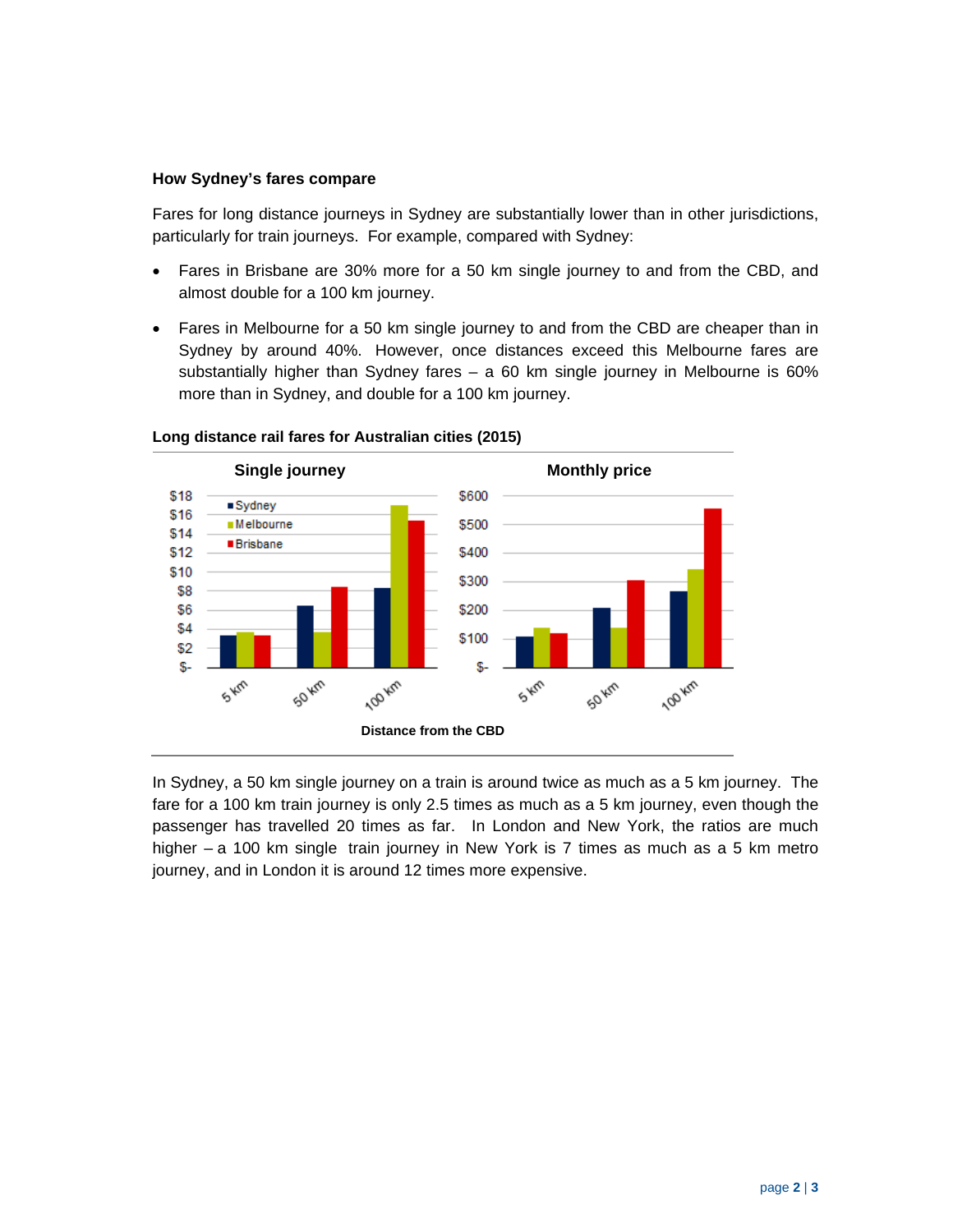## **How Sydney's fares compare**

Fares for long distance journeys in Sydney are substantially lower than in other jurisdictions, particularly for train journeys. For example, compared with Sydney:

- Fares in Brisbane are 30% more for a 50 km single journey to and from the CBD, and almost double for a 100 km journey.
- Fares in Melbourne for a 50 km single journey to and from the CBD are cheaper than in Sydney by around 40%. However, once distances exceed this Melbourne fares are substantially higher than Sydney fares – a 60 km single journey in Melbourne is 60% more than in Sydney, and double for a 100 km journey.



## **Long distance rail fares for Australian cities (2015)**

In Sydney, a 50 km single journey on a train is around twice as much as a 5 km journey. The fare for a 100 km train journey is only 2.5 times as much as a 5 km journey, even though the passenger has travelled 20 times as far. In London and New York, the ratios are much higher – a 100 km single train journey in New York is 7 times as much as a 5 km metro journey, and in London it is around 12 times more expensive.